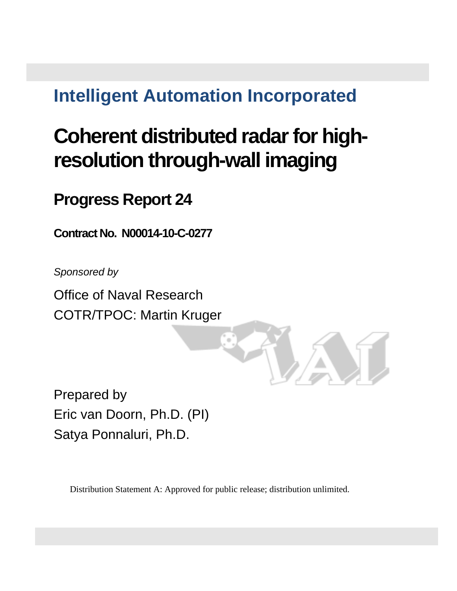# **Intelligent Automation Incorporated**

# **Coherent distributed radar for highresolution through-wall imaging**

**Progress Report 24** 

**Contract No. N00014-10-C-0277**

*Sponsored by* 

Office of Naval Research COTR/TPOC: Martin Kruger

Prepared by Eric van Doorn, Ph.D. (PI) Satya Ponnaluri, Ph.D.

Distribution Statement A: Approved for public release; distribution unlimited.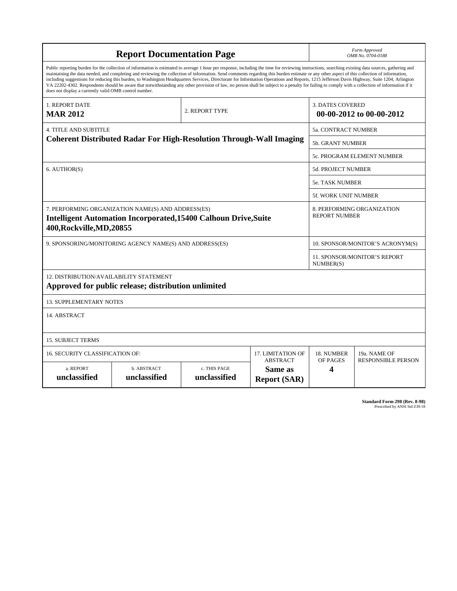| <b>Report Documentation Page</b>                                                                                                                                                                                                                                                                                                                                                                                                                                                                                                                                                                                                                                                                                                                                                                                                                                   |                             |                              |                                                   | Form Approved                                      |                                                     |  |
|--------------------------------------------------------------------------------------------------------------------------------------------------------------------------------------------------------------------------------------------------------------------------------------------------------------------------------------------------------------------------------------------------------------------------------------------------------------------------------------------------------------------------------------------------------------------------------------------------------------------------------------------------------------------------------------------------------------------------------------------------------------------------------------------------------------------------------------------------------------------|-----------------------------|------------------------------|---------------------------------------------------|----------------------------------------------------|-----------------------------------------------------|--|
|                                                                                                                                                                                                                                                                                                                                                                                                                                                                                                                                                                                                                                                                                                                                                                                                                                                                    |                             |                              |                                                   | OMB No. 0704-0188                                  |                                                     |  |
| Public reporting burden for the collection of information is estimated to average 1 hour per response, including the time for reviewing instructions, searching existing data sources, gathering and<br>maintaining the data needed, and completing and reviewing the collection of information. Send comments regarding this burden estimate or any other aspect of this collection of information,<br>including suggestions for reducing this burden, to Washington Headquarters Services, Directorate for Information Operations and Reports, 1215 Jefferson Davis Highway, Suite 1204, Arlington<br>VA 22202-4302. Respondents should be aware that notwithstanding any other provision of law, no person shall be subject to a penalty for failing to comply with a collection of information if it<br>does not display a currently valid OMB control number. |                             |                              |                                                   |                                                    |                                                     |  |
| 1. REPORT DATE<br><b>MAR 2012</b>                                                                                                                                                                                                                                                                                                                                                                                                                                                                                                                                                                                                                                                                                                                                                                                                                                  |                             | 2. REPORT TYPE               |                                                   |                                                    | <b>3. DATES COVERED</b><br>00-00-2012 to 00-00-2012 |  |
| <b>4. TITLE AND SUBTITLE</b>                                                                                                                                                                                                                                                                                                                                                                                                                                                                                                                                                                                                                                                                                                                                                                                                                                       |                             |                              |                                                   | 5a. CONTRACT NUMBER                                |                                                     |  |
| <b>Coherent Distributed Radar For High-Resolution Through-Wall Imaging</b>                                                                                                                                                                                                                                                                                                                                                                                                                                                                                                                                                                                                                                                                                                                                                                                         |                             |                              |                                                   | <b>5b. GRANT NUMBER</b>                            |                                                     |  |
|                                                                                                                                                                                                                                                                                                                                                                                                                                                                                                                                                                                                                                                                                                                                                                                                                                                                    |                             |                              |                                                   | 5c. PROGRAM ELEMENT NUMBER                         |                                                     |  |
| 6. AUTHOR(S)                                                                                                                                                                                                                                                                                                                                                                                                                                                                                                                                                                                                                                                                                                                                                                                                                                                       |                             |                              |                                                   | <b>5d. PROJECT NUMBER</b>                          |                                                     |  |
|                                                                                                                                                                                                                                                                                                                                                                                                                                                                                                                                                                                                                                                                                                                                                                                                                                                                    |                             |                              |                                                   | 5e. TASK NUMBER                                    |                                                     |  |
|                                                                                                                                                                                                                                                                                                                                                                                                                                                                                                                                                                                                                                                                                                                                                                                                                                                                    |                             |                              |                                                   | <b>5f. WORK UNIT NUMBER</b>                        |                                                     |  |
| 7. PERFORMING ORGANIZATION NAME(S) AND ADDRESS(ES)<br><b>Intelligent Automation Incorporated, 15400 Calhoun Drive, Suite</b><br>400, Rockville, MD, 20855                                                                                                                                                                                                                                                                                                                                                                                                                                                                                                                                                                                                                                                                                                          |                             |                              |                                                   | 8. PERFORMING ORGANIZATION<br><b>REPORT NUMBER</b> |                                                     |  |
| 9. SPONSORING/MONITORING AGENCY NAME(S) AND ADDRESS(ES)                                                                                                                                                                                                                                                                                                                                                                                                                                                                                                                                                                                                                                                                                                                                                                                                            |                             |                              |                                                   | 10. SPONSOR/MONITOR'S ACRONYM(S)                   |                                                     |  |
|                                                                                                                                                                                                                                                                                                                                                                                                                                                                                                                                                                                                                                                                                                                                                                                                                                                                    |                             |                              |                                                   | 11. SPONSOR/MONITOR'S REPORT<br>NUMBER(S)          |                                                     |  |
| 12. DISTRIBUTION/AVAILABILITY STATEMENT<br>Approved for public release; distribution unlimited                                                                                                                                                                                                                                                                                                                                                                                                                                                                                                                                                                                                                                                                                                                                                                     |                             |                              |                                                   |                                                    |                                                     |  |
| <b>13. SUPPLEMENTARY NOTES</b>                                                                                                                                                                                                                                                                                                                                                                                                                                                                                                                                                                                                                                                                                                                                                                                                                                     |                             |                              |                                                   |                                                    |                                                     |  |
| 14. ABSTRACT                                                                                                                                                                                                                                                                                                                                                                                                                                                                                                                                                                                                                                                                                                                                                                                                                                                       |                             |                              |                                                   |                                                    |                                                     |  |
| <b>15. SUBJECT TERMS</b>                                                                                                                                                                                                                                                                                                                                                                                                                                                                                                                                                                                                                                                                                                                                                                                                                                           |                             |                              |                                                   |                                                    |                                                     |  |
| 16. SECURITY CLASSIFICATION OF:<br>17. LIMITATION OF                                                                                                                                                                                                                                                                                                                                                                                                                                                                                                                                                                                                                                                                                                                                                                                                               |                             |                              |                                                   | 18. NUMBER                                         | 19a. NAME OF                                        |  |
| a. REPORT<br>unclassified                                                                                                                                                                                                                                                                                                                                                                                                                                                                                                                                                                                                                                                                                                                                                                                                                                          | b. ABSTRACT<br>unclassified | c. THIS PAGE<br>unclassified | <b>ABSTRACT</b><br>Same as<br><b>Report (SAR)</b> | OF PAGES<br>4                                      | <b>RESPONSIBLE PERSON</b>                           |  |

**Standard Form 298 (Rev. 8-98)**<br>Prescribed by ANSI Std Z39-18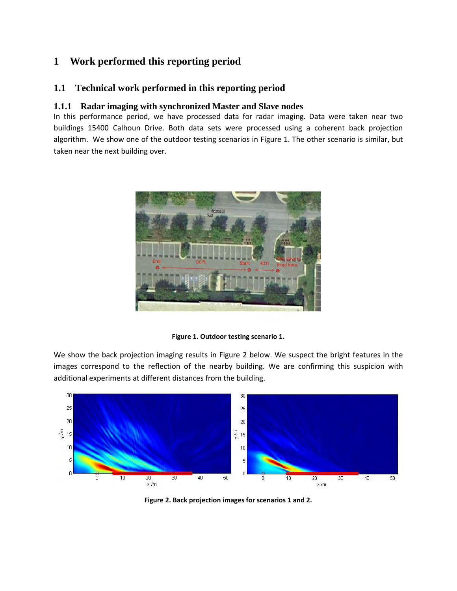## **1 Work performed this reporting period**

### **1.1 Technical work performed in this reporting period**

#### **1.1.1 Radar imaging with synchronized Master and Slave nodes**

In this performance period, we have processed data for radar imaging. Data were taken near two buildings 15400 Calhoun Drive. Both data sets were processed using a coherent back projection algorithm. We show one of the outdoor testing scenarios in Figure 1. The other scenario is similar, but taken near the next building over.



**Figure 1. Outdoor testing scenario 1.** 

We show the back projection imaging results in Figure 2 below. We suspect the bright features in the images correspond to the reflection of the nearby building. We are confirming this suspicion with additional experiments at different distances from the building.



**Figure 2. Back projection images for scenarios 1 and 2.**